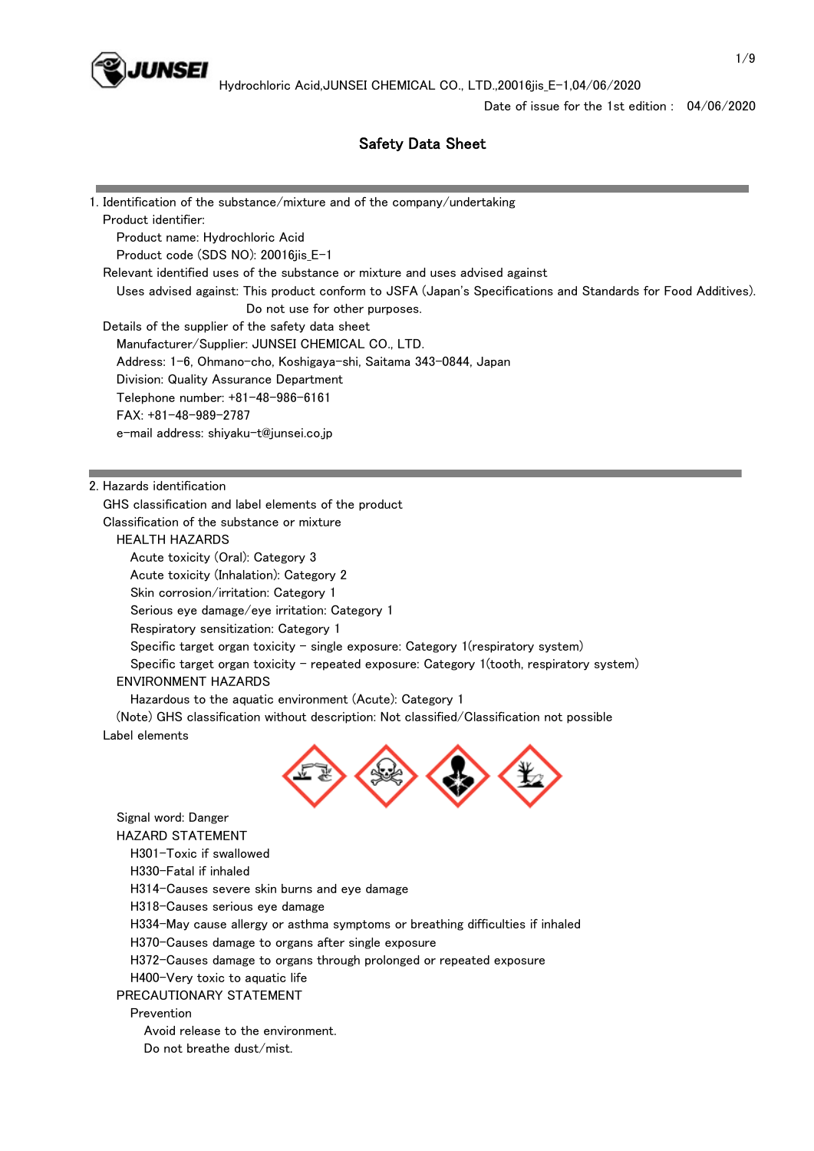

## Safety Data Sheet

| 1. Identification of the substance/mixture and of the company/undertaking                                     |
|---------------------------------------------------------------------------------------------------------------|
| Product identifier:                                                                                           |
| Product name: Hydrochloric Acid                                                                               |
| Product code (SDS NO): 20016jis_E-1                                                                           |
| Relevant identified uses of the substance or mixture and uses advised against                                 |
| Uses advised against: This product conform to JSFA (Japan's Specifications and Standards for Food Additives). |
| Do not use for other purposes.                                                                                |
| Details of the supplier of the safety data sheet                                                              |
| Manufacturer/Supplier: JUNSEI CHEMICAL CO., LTD.                                                              |
| Address: 1-6, Ohmano-cho, Koshigaya-shi, Saitama 343-0844, Japan                                              |
| Division: Quality Assurance Department                                                                        |
| Telephone number: +81-48-986-6161                                                                             |
| $FAX: +81-48-989-2787$                                                                                        |
| e-mail address: shiyaku-t@junsei.co.jp                                                                        |
|                                                                                                               |
| 2. Hazards identification                                                                                     |
| GHS classification and label elements of the product                                                          |
| Classification of the substance or mixture                                                                    |
| <b>HEALTH HAZARDS</b>                                                                                         |
| Acute toxicity (Oral): Category 3                                                                             |
| Acute toxicity (Inhalation): Category 2                                                                       |
| Skin corrosion/irritation: Category 1                                                                         |
| Serious eye damage/eye irritation: Category 1                                                                 |
| Respiratory sensitization: Category 1                                                                         |
| Specific target organ toxicity – single exposure: Category $1$ (respiratory system)                           |
| Specific target organ toxicity - repeated exposure: Category 1(tooth, respiratory system)                     |
| <b>ENVIRONMENT HAZARDS</b>                                                                                    |
| Hazardous to the aquatic environment (Acute): Category 1                                                      |
| (Note) GHS classification without description: Not classified/Classification not possible                     |
| Label elements                                                                                                |
|                                                                                                               |
| Signal word: Danger                                                                                           |
| <b>HAZARD STATEMENT</b>                                                                                       |
| H301-Toxic if swallowed                                                                                       |
| H330-Fatal if inhaled                                                                                         |
| H314-Causes severe skin burns and eye damage                                                                  |
| H318-Causes serious eye damage                                                                                |
| H334-May cause allergy or asthma symptoms or breathing difficulties if inhaled                                |
| H370-Causes damage to organs after single exposure                                                            |
| H372-Causes damage to organs through prolonged or repeated exposure                                           |
| H400-Very toxic to aquatic life                                                                               |
| PRECAUTIONARY STATEMENT                                                                                       |
| Prevention                                                                                                    |
| Avoid release to the environment.                                                                             |
| Do not breathe dust/mist.                                                                                     |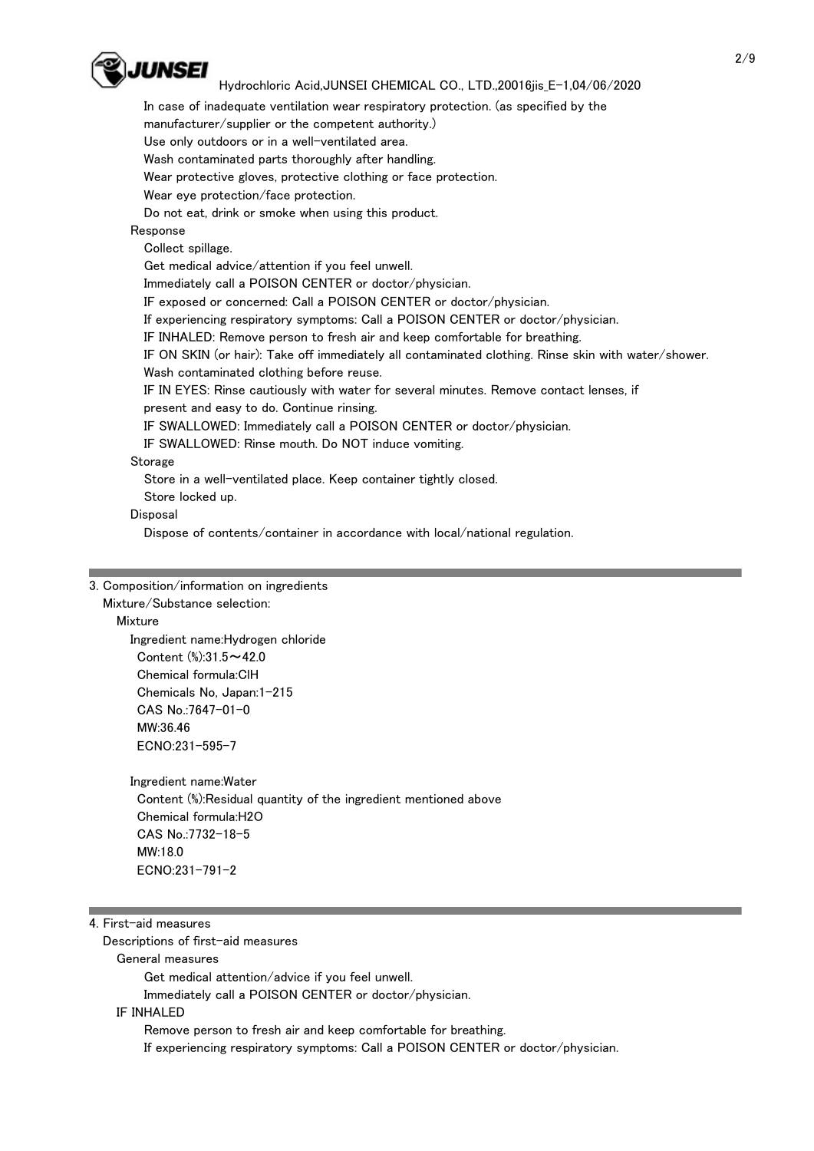

In case of inadequate ventilation wear respiratory protection. (as specified by the

manufacturer/supplier or the competent authority.)

Use only outdoors or in a well-ventilated area.

Wash contaminated parts thoroughly after handling.

Wear protective gloves, protective clothing or face protection.

Wear eye protection/face protection.

Do not eat, drink or smoke when using this product.

Response

Collect spillage.

Get medical advice/attention if you feel unwell.

Immediately call a POISON CENTER or doctor/physician.

IF exposed or concerned: Call a POISON CENTER or doctor/physician.

If experiencing respiratory symptoms: Call a POISON CENTER or doctor/physician.

IF INHALED: Remove person to fresh air and keep comfortable for breathing.

 IF ON SKIN (or hair): Take off immediately all contaminated clothing. Rinse skin with water/shower. Wash contaminated clothing before reuse.

IF IN EYES: Rinse cautiously with water for several minutes. Remove contact lenses, if

present and easy to do. Continue rinsing.

IF SWALLOWED: Immediately call a POISON CENTER or doctor/physician.

IF SWALLOWED: Rinse mouth. Do NOT induce vomiting.

#### Storage

Store in a well-ventilated place. Keep container tightly closed.

Store locked up.

Disposal

Dispose of contents/container in accordance with local/national regulation.

#### 3. Composition/information on ingredients Mixture/Substance selection:

Mixture

 Ingredient name:Hydrogen chloride Content (%):31.5~42.0 Chemical formula:ClH Chemicals No, Japan:1-215 CAS No.:7647-01-0 MW:36.46 ECNO:231-595-7

Ingredient name:Water

 Content (%):Residual quantity of the ingredient mentioned above Chemical formula:H2O CAS No.:7732-18-5 MW:18.0 ECNO:231-791-2

#### 4. First-aid measures

Descriptions of first-aid measures

General measures

Get medical attention/advice if you feel unwell.

Immediately call a POISON CENTER or doctor/physician.

IF INHALED

Remove person to fresh air and keep comfortable for breathing.

If experiencing respiratory symptoms: Call a POISON CENTER or doctor/physician.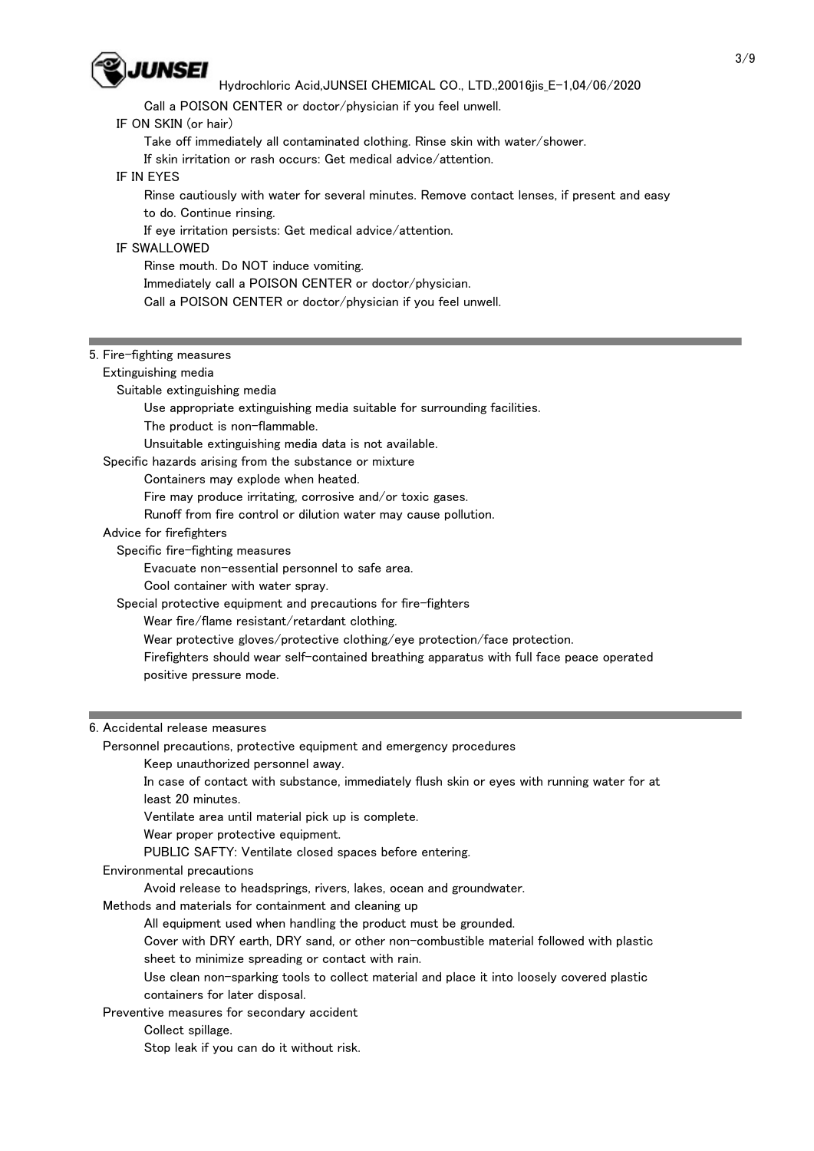

Call a POISON CENTER or doctor/physician if you feel unwell.

### IF ON SKIN (or hair)

Take off immediately all contaminated clothing. Rinse skin with water/shower.

If skin irritation or rash occurs: Get medical advice/attention.

#### IF IN EYES

 Rinse cautiously with water for several minutes. Remove contact lenses, if present and easy to do. Continue rinsing.

If eye irritation persists: Get medical advice/attention.

#### IF SWALLOWED

Rinse mouth. Do NOT induce vomiting.

Immediately call a POISON CENTER or doctor/physician.

Call a POISON CENTER or doctor/physician if you feel unwell.

#### 5. Fire-fighting measures

Extinguishing media

Suitable extinguishing media

Use appropriate extinguishing media suitable for surrounding facilities.

The product is non-flammable.

Unsuitable extinguishing media data is not available.

#### Specific hazards arising from the substance or mixture

Containers may explode when heated.

Fire may produce irritating, corrosive and/or toxic gases.

- Runoff from fire control or dilution water may cause pollution.
- Advice for firefighters

Specific fire-fighting measures

Evacuate non-essential personnel to safe area.

Cool container with water spray.

Special protective equipment and precautions for fire-fighters

Wear fire/flame resistant/retardant clothing.

Wear protective gloves/protective clothing/eye protection/face protection.

 Firefighters should wear self-contained breathing apparatus with full face peace operated positive pressure mode.

#### 6. Accidental release measures

Personnel precautions, protective equipment and emergency procedures

Keep unauthorized personnel away.

 In case of contact with substance, immediately flush skin or eyes with running water for at least 20 minutes.

Ventilate area until material pick up is complete.

Wear proper protective equipment.

PUBLIC SAFTY: Ventilate closed spaces before entering.

#### Environmental precautions

Avoid release to headsprings, rivers, lakes, ocean and groundwater.

Methods and materials for containment and cleaning up

All equipment used when handling the product must be grounded.

 Cover with DRY earth, DRY sand, or other non-combustible material followed with plastic sheet to minimize spreading or contact with rain.

 Use clean non-sparking tools to collect material and place it into loosely covered plastic containers for later disposal.

Preventive measures for secondary accident

Collect spillage.

Stop leak if you can do it without risk.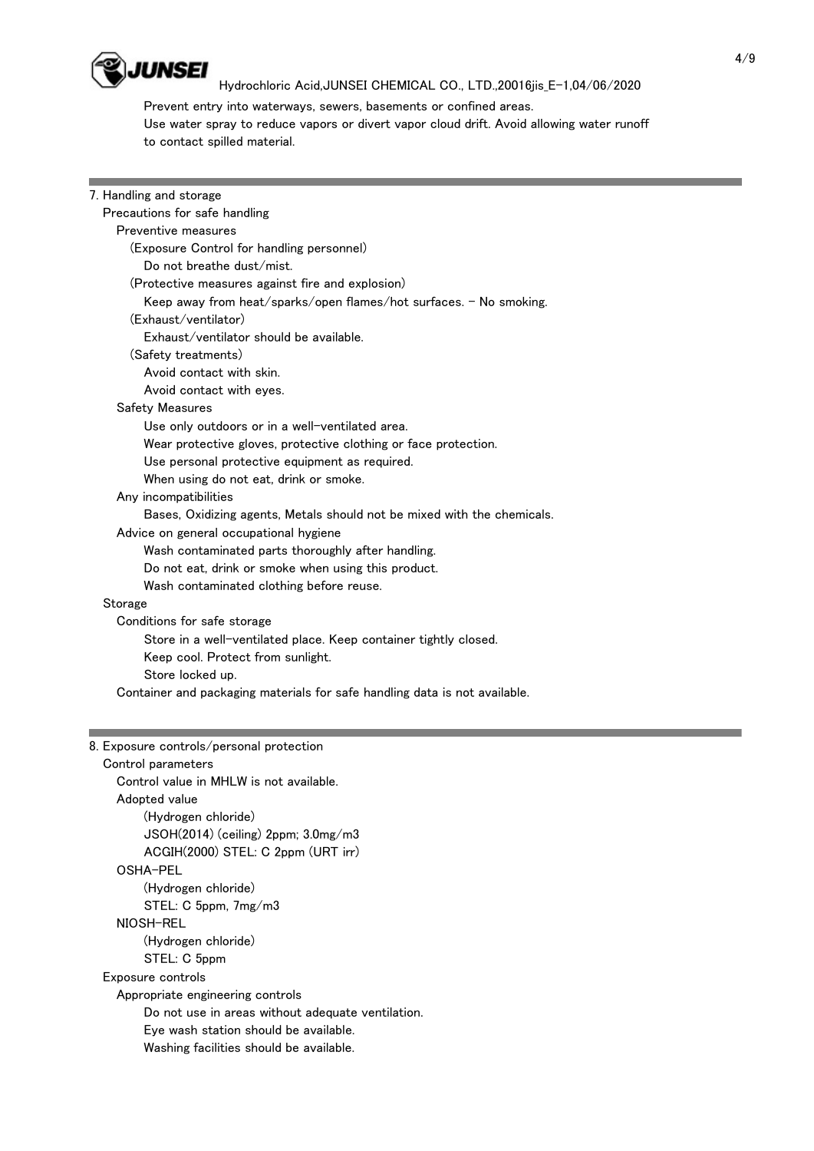

 Prevent entry into waterways, sewers, basements or confined areas. Use water spray to reduce vapors or divert vapor cloud drift. Avoid allowing water runoff to contact spilled material.

| 7. Handling and storage                                                    |  |  |  |  |  |
|----------------------------------------------------------------------------|--|--|--|--|--|
| Precautions for safe handling                                              |  |  |  |  |  |
| Preventive measures                                                        |  |  |  |  |  |
| (Exposure Control for handling personnel)                                  |  |  |  |  |  |
| Do not breathe dust/mist.                                                  |  |  |  |  |  |
| (Protective measures against fire and explosion)                           |  |  |  |  |  |
| Keep away from heat/sparks/open flames/hot surfaces. - No smoking.         |  |  |  |  |  |
| (Exhaust/ventilator)                                                       |  |  |  |  |  |
| Exhaust/ventilator should be available.                                    |  |  |  |  |  |
| (Safety treatments)                                                        |  |  |  |  |  |
| Avoid contact with skin.                                                   |  |  |  |  |  |
| Avoid contact with eyes.                                                   |  |  |  |  |  |
| <b>Safety Measures</b>                                                     |  |  |  |  |  |
| Use only outdoors or in a well-ventilated area.                            |  |  |  |  |  |
| Wear protective gloves, protective clothing or face protection.            |  |  |  |  |  |
| Use personal protective equipment as required.                             |  |  |  |  |  |
| When using do not eat, drink or smoke.                                     |  |  |  |  |  |
| Any incompatibilities                                                      |  |  |  |  |  |
| Bases, Oxidizing agents, Metals should not be mixed with the chemicals.    |  |  |  |  |  |
| Advice on general occupational hygiene                                     |  |  |  |  |  |
| Wash contaminated parts thoroughly after handling.                         |  |  |  |  |  |
| Do not eat, drink or smoke when using this product.                        |  |  |  |  |  |
| Wash contaminated clothing before reuse.                                   |  |  |  |  |  |
| Storage                                                                    |  |  |  |  |  |
| Conditions for safe storage                                                |  |  |  |  |  |
| Store in a well-ventilated place. Keep container tightly closed.           |  |  |  |  |  |
| Keep cool. Protect from sunlight.                                          |  |  |  |  |  |
| Store locked up.                                                           |  |  |  |  |  |
| Container and packaging materials for safe handling data is not available. |  |  |  |  |  |
|                                                                            |  |  |  |  |  |
|                                                                            |  |  |  |  |  |
| 8. Exposure controls/personal protection                                   |  |  |  |  |  |
| Control parameters                                                         |  |  |  |  |  |
| Control value in MHLW is not available.                                    |  |  |  |  |  |
| Adopted value                                                              |  |  |  |  |  |
| (Hydrogen chloride)                                                        |  |  |  |  |  |

 JSOH(2014) (ceiling) 2ppm; 3.0mg/m3 ACGIH(2000) STEL: C 2ppm (URT irr) OSHA-PEL (Hydrogen chloride) STEL: C 5ppm, 7mg/m3 NIOSH-REL

(Hydrogen chloride)

STEL: C 5ppm

Exposure controls

Appropriate engineering controls

Do not use in areas without adequate ventilation.

Eye wash station should be available.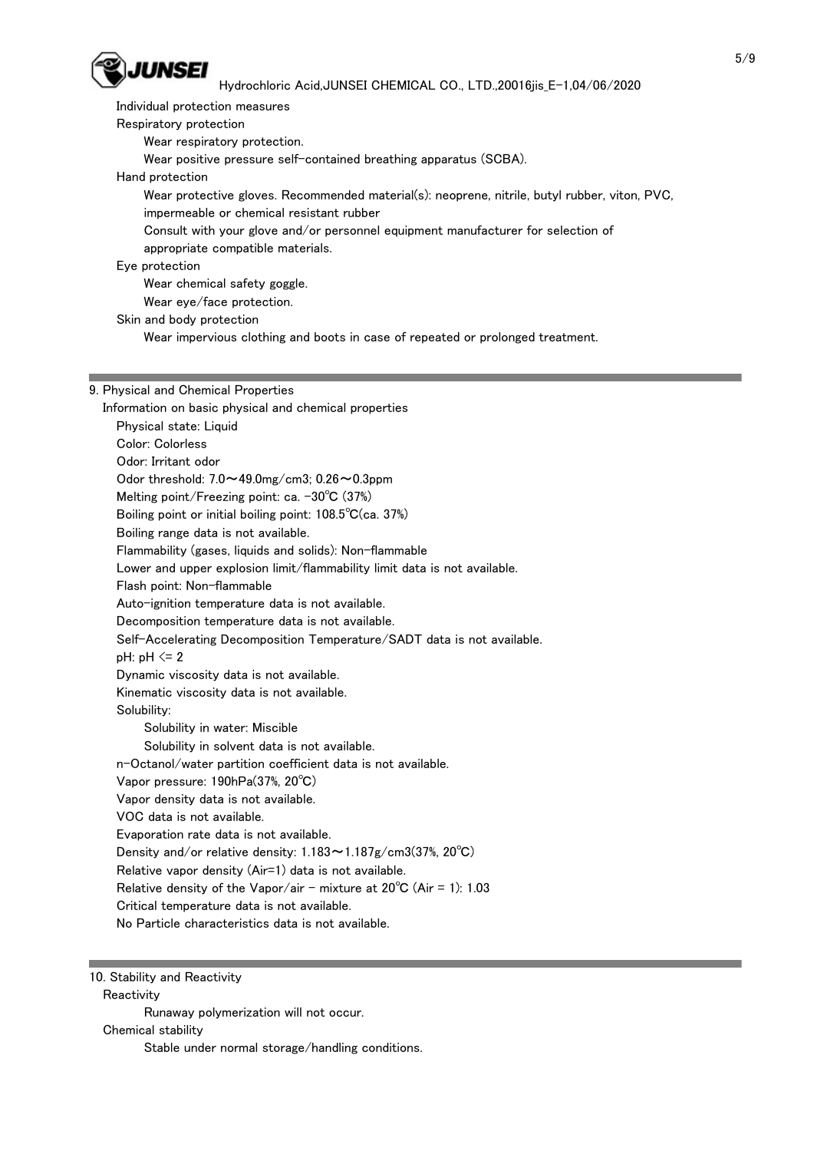

 Individual protection measures Respiratory protection Wear respiratory protection. Wear positive pressure self-contained breathing apparatus (SCBA). Hand protection Wear protective gloves. Recommended material(s): neoprene, nitrile, butyl rubber, viton, PVC,

impermeable or chemical resistant rubber

 Consult with your glove and/or personnel equipment manufacturer for selection of appropriate compatible materials.

## Eye protection

 Wear chemical safety goggle. Wear eye/face protection.

Skin and body protection

Wear impervious clothing and boots in case of repeated or prolonged treatment.

## 9. Physical and Chemical Properties

 Information on basic physical and chemical properties Physical state: Liquid Color: Colorless Odor: Irritant odor Odor threshold: 7.0~49.0mg/cm3; 0.26~0.3ppm Melting point/Freezing point: ca. -30°C (37%) Boiling point or initial boiling point: 108.5℃(ca. 37%) Boiling range data is not available. Flammability (gases, liquids and solids): Non-flammable Lower and upper explosion limit/flammability limit data is not available. Flash point: Non-flammable Auto-ignition temperature data is not available. Decomposition temperature data is not available. Self-Accelerating Decomposition Temperature/SADT data is not available.  $pH: pH \leq 2$  Dynamic viscosity data is not available. Kinematic viscosity data is not available. Solubility: Solubility in water: Miscible Solubility in solvent data is not available. n-Octanol/water partition coefficient data is not available. Vapor pressure: 190hPa(37%, 20℃) Vapor density data is not available. VOC data is not available. Evaporation rate data is not available. Density and/or relative density: 1.183~1.187g/cm3(37%, 20℃) Relative vapor density (Air=1) data is not available. Relative density of the Vapor/air - mixture at  $20^{\circ}C$  (Air = 1): 1.03 Critical temperature data is not available. No Particle characteristics data is not available.

10. Stability and Reactivity

**Reactivity** 

Runaway polymerization will not occur.

Chemical stability

Stable under normal storage/handling conditions.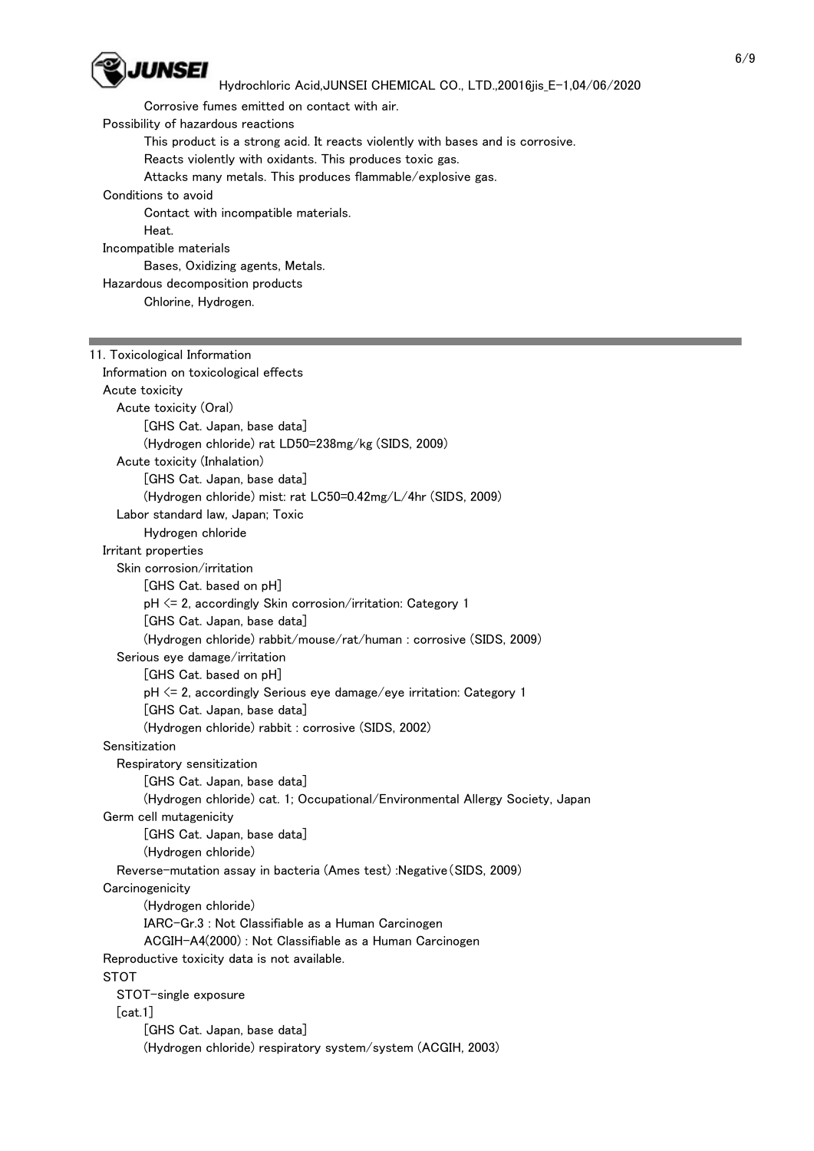

Corrosive fumes emitted on contact with air.

Possibility of hazardous reactions

This product is a strong acid. It reacts violently with bases and is corrosive.

Reacts violently with oxidants. This produces toxic gas.

Attacks many metals. This produces flammable/explosive gas.

Conditions to avoid

Contact with incompatible materials.

Heat.

Incompatible materials

Bases, Oxidizing agents, Metals.

Hazardous decomposition products

Chlorine, Hydrogen.

## 11. Toxicological Information Information on toxicological effects Acute toxicity Acute toxicity (Oral) [GHS Cat. Japan, base data] (Hydrogen chloride) rat LD50=238mg/kg (SIDS, 2009) Acute toxicity (Inhalation) [GHS Cat. Japan, base data] (Hydrogen chloride) mist: rat LC50=0.42mg/L/4hr (SIDS, 2009) Labor standard law, Japan; Toxic Hydrogen chloride Irritant properties Skin corrosion/irritation [GHS Cat. based on pH] pH <= 2, accordingly Skin corrosion/irritation: Category 1 [GHS Cat. Japan, base data] (Hydrogen chloride) rabbit/mouse/rat/human : corrosive (SIDS, 2009) Serious eye damage/irritation [GHS Cat. based on pH] pH <= 2, accordingly Serious eye damage/eye irritation: Category 1 [GHS Cat. Japan, base data] (Hydrogen chloride) rabbit : corrosive (SIDS, 2002) Sensitization Respiratory sensitization [GHS Cat. Japan, base data] (Hydrogen chloride) cat. 1; Occupational/Environmental Allergy Society, Japan Germ cell mutagenicity [GHS Cat. Japan, base data] (Hydrogen chloride) Reverse-mutation assay in bacteria (Ames test) :Negative(SIDS, 2009) **Carcinogenicity**  (Hydrogen chloride) IARC-Gr.3 : Not Classifiable as a Human Carcinogen ACGIH-A4(2000) : Not Classifiable as a Human Carcinogen Reproductive toxicity data is not available. STOT STOT-single exposure [cat.1] [GHS Cat. Japan, base data] (Hydrogen chloride) respiratory system/system (ACGIH, 2003)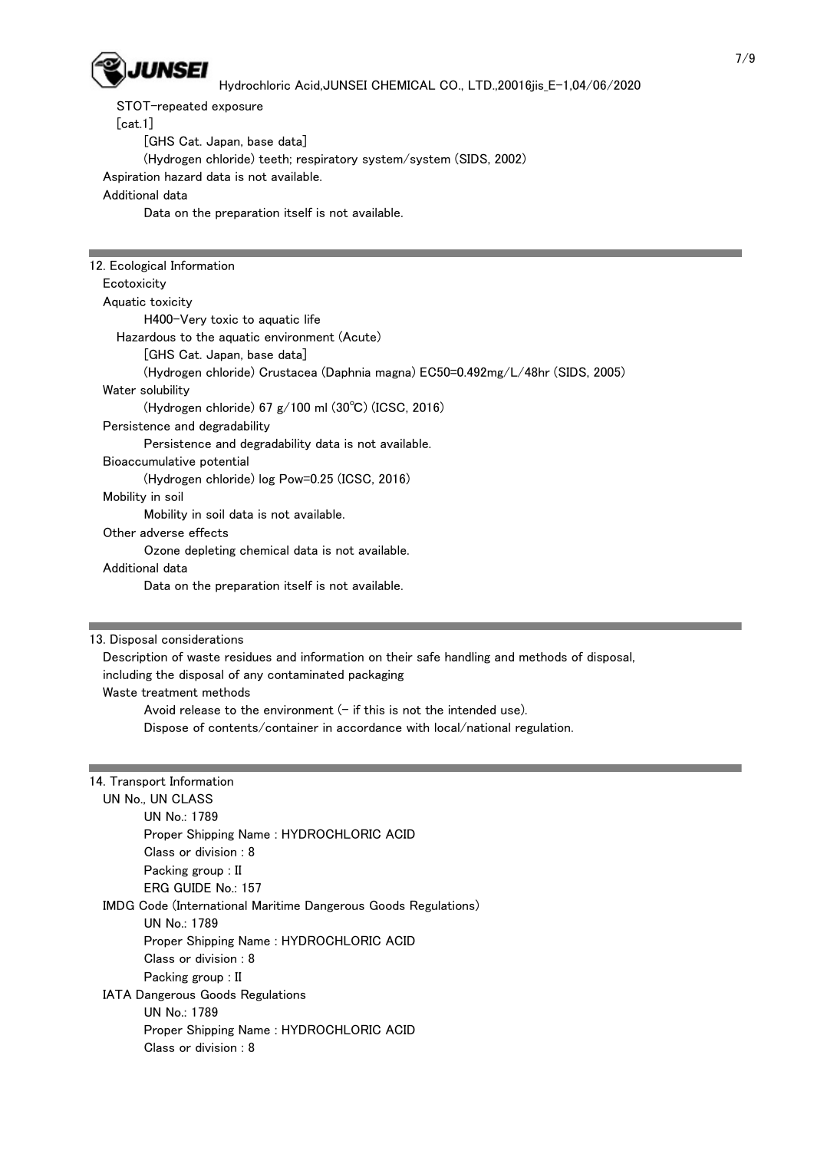

STOT-repeated exposure

[cat.1]

[GHS Cat. Japan, base data]

(Hydrogen chloride) teeth; respiratory system/system (SIDS, 2002)

Aspiration hazard data is not available.

### Additional data

Data on the preparation itself is not available.

| 12. Ecological Information                                                     |  |  |  |  |
|--------------------------------------------------------------------------------|--|--|--|--|
| Ecotoxicity                                                                    |  |  |  |  |
| Aquatic toxicity                                                               |  |  |  |  |
| H400-Very toxic to aguatic life                                                |  |  |  |  |
| Hazardous to the aquatic environment (Acute)                                   |  |  |  |  |
| [GHS Cat. Japan, base data]                                                    |  |  |  |  |
| (Hydrogen chloride) Crustacea (Daphnia magna) EC50=0.492mg/L/48hr (SIDS, 2005) |  |  |  |  |
| Water solubility                                                               |  |  |  |  |
| (Hydrogen chloride) 67 $g/100$ ml (30°C) (ICSC, 2016)                          |  |  |  |  |
| Persistence and degradability                                                  |  |  |  |  |
| Persistence and degradability data is not available.                           |  |  |  |  |
| Bioaccumulative potential                                                      |  |  |  |  |
| (Hydrogen chloride) log Pow=0.25 (ICSC, 2016)                                  |  |  |  |  |
| Mobility in soil                                                               |  |  |  |  |
| Mobility in soil data is not available.                                        |  |  |  |  |
| Other adverse effects                                                          |  |  |  |  |
| Ozone depleting chemical data is not available.                                |  |  |  |  |
| Additional data                                                                |  |  |  |  |
| Data on the preparation itself is not available.                               |  |  |  |  |

13. Disposal considerations

 Description of waste residues and information on their safe handling and methods of disposal, including the disposal of any contaminated packaging Waste treatment methods Avoid release to the environment  $(-$  if this is not the intended use).

Dispose of contents/container in accordance with local/national regulation.

|  |                                                                                           |  | 14. Transport Information |  |
|--|-------------------------------------------------------------------------------------------|--|---------------------------|--|
|  | $\frac{1}{10}$ $\frac{1}{10}$ $\frac{1}{10}$ $\frac{1}{10}$ $\frac{1}{10}$ $\frac{1}{10}$ |  |                           |  |

| UN NO., UN ULASS                                               |
|----------------------------------------------------------------|
| UN No.: 1789                                                   |
| Proper Shipping Name: HYDROCHLORIC ACID                        |
| Class or division : 8                                          |
| Packing group : II                                             |
| ERG GUIDE No.: 157                                             |
| IMDG Code (International Maritime Dangerous Goods Regulations) |
| UN No.: 1789                                                   |
| Proper Shipping Name: HYDROCHLORIC ACID                        |
| Class or division : 8                                          |
| Packing group : II                                             |
| <b>IATA Dangerous Goods Regulations</b>                        |
| UN No.: 1789                                                   |
| Proper Shipping Name: HYDROCHLORIC ACID                        |
| Class or division : 8                                          |
|                                                                |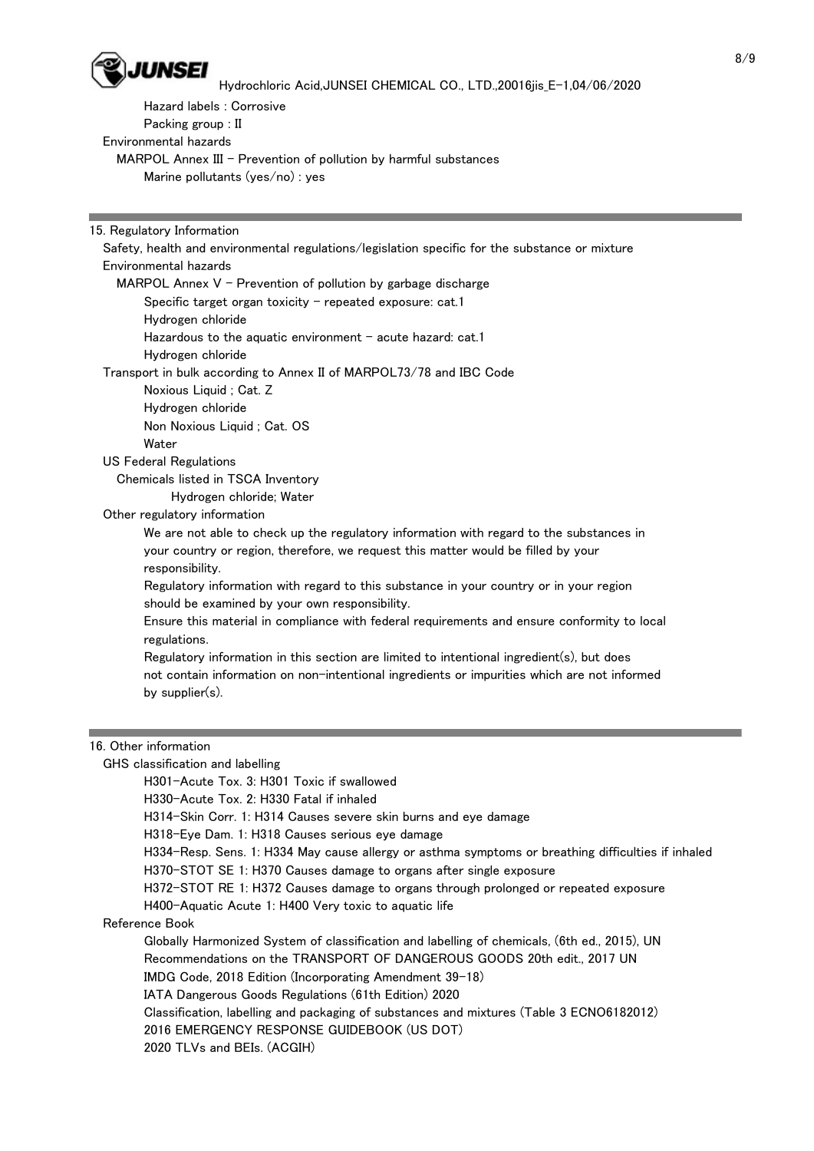

Hazard labels : Corrosive

Packing group : II

Environmental hazards

MARPOL Annex III - Prevention of pollution by harmful substances

Marine pollutants (yes/no) : yes

15. Regulatory Information

Environmental hazards

MARPOL Annex  $V$  - Prevention of pollution by garbage discharge Specific target organ toxicity  $-$  repeated exposure: cat.1 Hydrogen chloride Hazardous to the aquatic environment  $-$  acute hazard: cat.1 Hydrogen chloride Transport in bulk according to Annex II of MARPOL73/78 and IBC Code Noxious Liquid ; Cat. Z Hydrogen chloride Non Noxious Liquid ; Cat. OS **Water**  US Federal Regulations Chemicals listed in TSCA Inventory Hydrogen chloride; Water Other regulatory information We are not able to check up the regulatory information with regard to the substances in your country or region, therefore, we request this matter would be filled by your responsibility. Regulatory information with regard to this substance in your country or in your region should be examined by your own responsibility. Ensure this material in compliance with federal requirements and ensure conformity to local

Safety, health and environmental regulations/legislation specific for the substance or mixture

 regulations. Regulatory information in this section are limited to intentional ingredient(s), but does not contain information on non-intentional ingredients or impurities which are not informed by supplier(s).

## 16. Other information

GHS classification and labelling

H301-Acute Tox. 3: H301 Toxic if swallowed

H330-Acute Tox. 2: H330 Fatal if inhaled

H314-Skin Corr. 1: H314 Causes severe skin burns and eye damage

H318-Eye Dam. 1: H318 Causes serious eye damage

H334-Resp. Sens. 1: H334 May cause allergy or asthma symptoms or breathing difficulties if inhaled

H370-STOT SE 1: H370 Causes damage to organs after single exposure

H372-STOT RE 1: H372 Causes damage to organs through prolonged or repeated exposure

H400-Aquatic Acute 1: H400 Very toxic to aquatic life

#### Reference Book

 Globally Harmonized System of classification and labelling of chemicals, (6th ed., 2015), UN Recommendations on the TRANSPORT OF DANGEROUS GOODS 20th edit., 2017 UN

IMDG Code, 2018 Edition (Incorporating Amendment 39-18)

IATA Dangerous Goods Regulations (61th Edition) 2020

Classification, labelling and packaging of substances and mixtures (Table 3 ECNO6182012)

2016 EMERGENCY RESPONSE GUIDEBOOK (US DOT)

2020 TLVs and BEIs. (ACGIH)